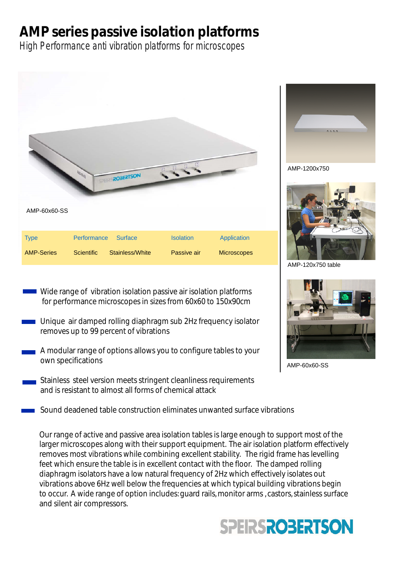# **AMP series passive isolation platforms**

High Performance anti vibration platforms for microscopes



- Wide range of vibration isolation passive air isolation platforms for performance microscopes in sizes from 60x60 to 150x90cm
- Unique air damped rolling diaphragm sub 2Hz frequency isolator removes up to 99 percent of vibrations
- A modular range of options allows you to configure tables to your own specifications
- Stainless steel version meets stringent cleanliness requirements and is resistant to almost all forms of chemical attack
- Sound deadened table construction eliminates unwanted surface vibrations

Our range of active and passive area isolation tables is large enough to support most of the larger microscopes along with their support equipment. The air isolation platform effectively removes most vibrations while combining excellent stability. The rigid frame has levelling feet which ensure the table is in excellent contact with the floor. The damped rolling diaphragm isolators have a low natural frequency of 2Hz which effectively isolates out vibrations above 6Hz well below the frequencies at which typical building vibrations begin to occur. A wide range of option includes: quard rails, monitor arms, castors, stainless surface and silent air compressors.







AMP-120x750 table



AMP-60x60-SS